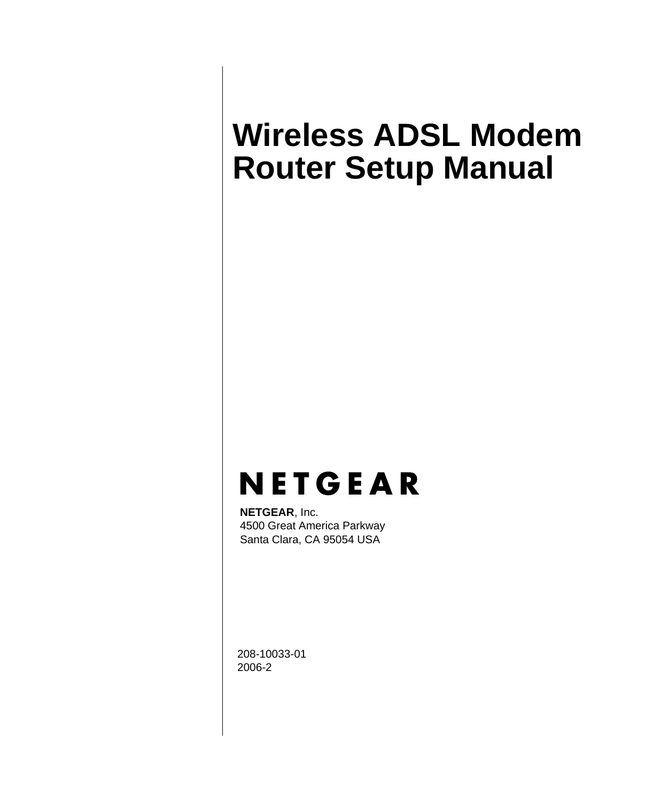# <span id="page-0-0"></span>**Wireless ADSL Modem Router Setup Manual**

# **NETGEAR**

**NETGEAR**, Inc. 4500 Great America Parkway Santa Clara, CA 95054 USA

208-10033-01 2006-2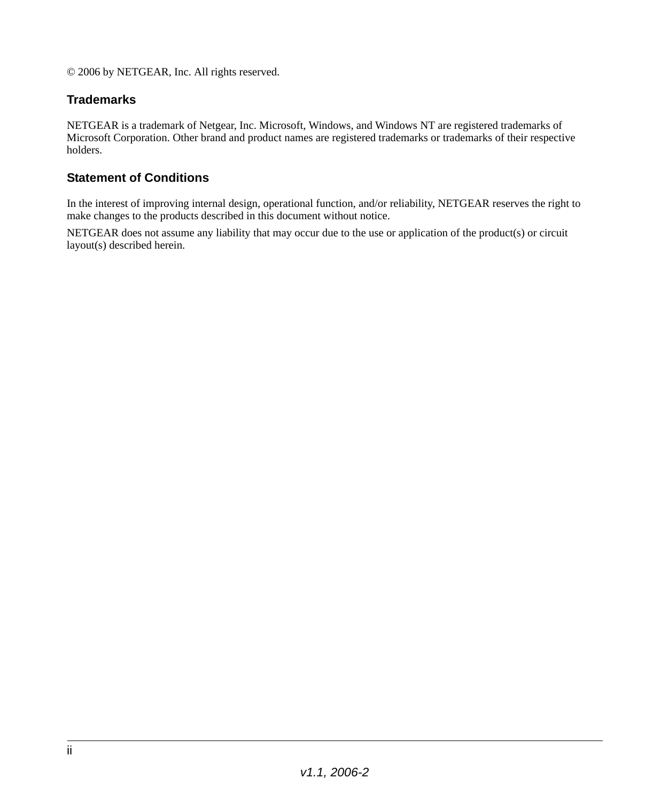© 2006 by NETGEAR, Inc. All rights reserved.

### **Trademarks**

NETGEAR is a trademark of Netgear, Inc. Microsoft, Windows, and Windows NT are registered trademarks of Microsoft Corporation. Other brand and product names are registered trademarks or trademarks of their respective holders.

#### **Statement of Conditions**

In the interest of improving internal design, operational function, and/or reliability, NETGEAR reserves the right to make changes to the products described in this document without notice.

NETGEAR does not assume any liability that may occur due to the use or application of the product(s) or circuit layout(s) described herein.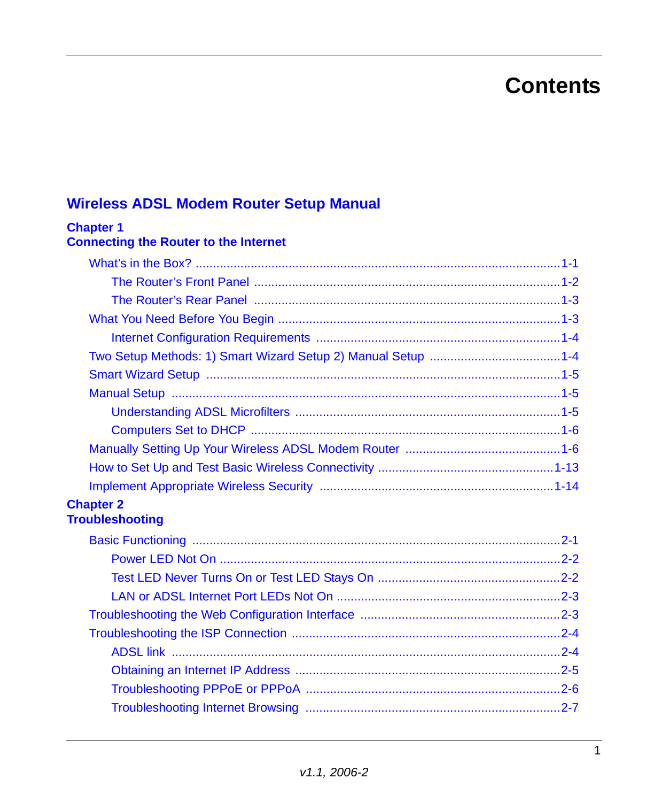## **Contents**

### **Wireless ADSL Modem Router Setup Manual**

| <b>Chapter 1</b><br><b>Connecting the Router to the Internet</b> |  |
|------------------------------------------------------------------|--|
|                                                                  |  |
|                                                                  |  |
|                                                                  |  |
|                                                                  |  |
|                                                                  |  |
|                                                                  |  |
|                                                                  |  |
|                                                                  |  |
|                                                                  |  |
|                                                                  |  |
|                                                                  |  |
|                                                                  |  |
|                                                                  |  |
| <b>Chapter 2</b><br><b>Troubleshooting</b>                       |  |
|                                                                  |  |
|                                                                  |  |
|                                                                  |  |
|                                                                  |  |
|                                                                  |  |
|                                                                  |  |
|                                                                  |  |
|                                                                  |  |
|                                                                  |  |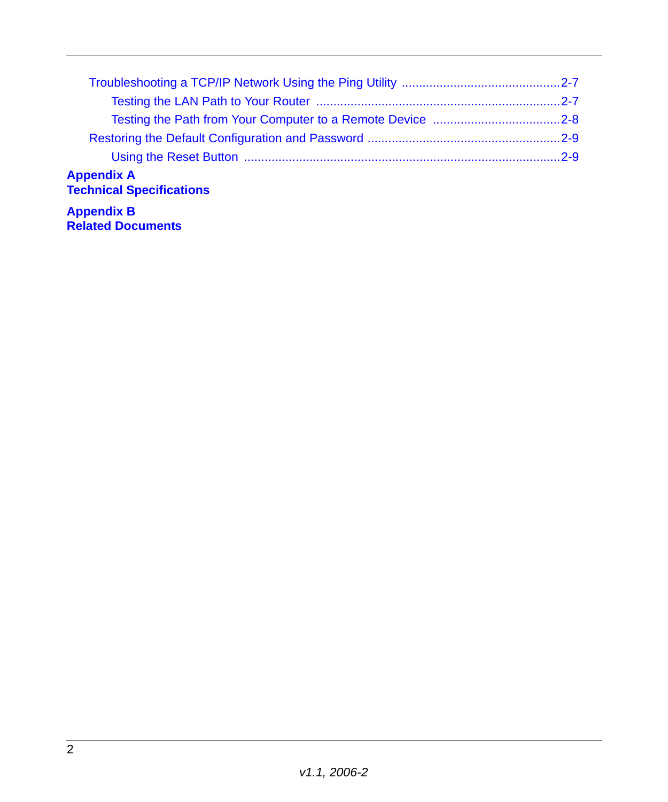| <b>Appendix A</b><br><b>Technical Specifications</b> |  |
|------------------------------------------------------|--|
| <b>Appendix B</b><br><b>Related Documents</b>        |  |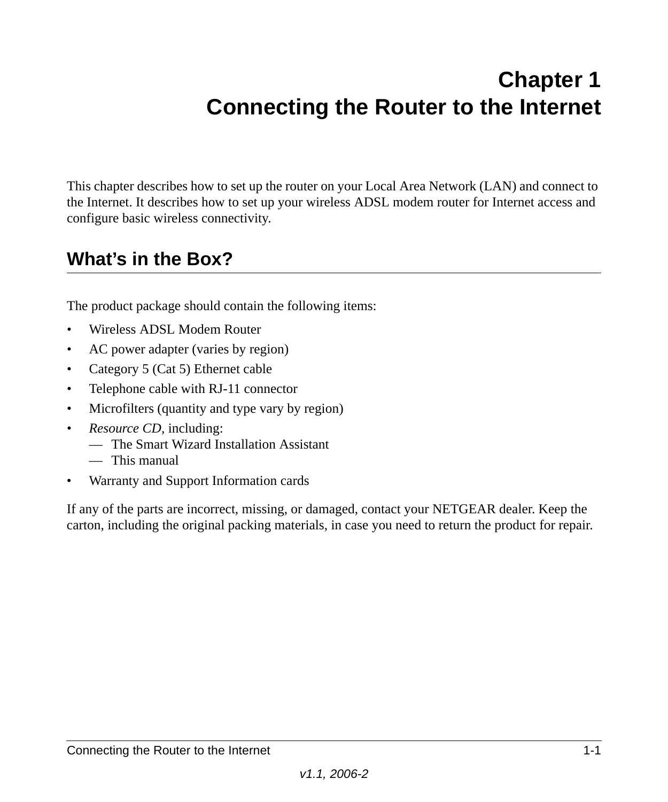## **Chapter 1 Connecting the Router to the Internet**

<span id="page-4-0"></span>This chapter describes how to set up the router on your Local Area Network (LAN) and connect to the Internet. It describes how to set up your wireless ADSL modem router for Internet access and configure basic wireless connectivity.

## <span id="page-4-1"></span>**What's in the Box?**

The product package should contain the following items:

- Wireless ADSL Modem Router
- AC power adapter (varies by region)
- Category 5 (Cat 5) Ethernet cable
- Telephone cable with RJ-11 connector
- Microfilters (quantity and type vary by region)
- *Resource CD*, including:
	- The Smart Wizard Installation Assistant
	- This manual
- Warranty and Support Information cards

If any of the parts are incorrect, missing, or damaged, contact your NETGEAR dealer. Keep the carton, including the original packing materials, in case you need to return the product for repair.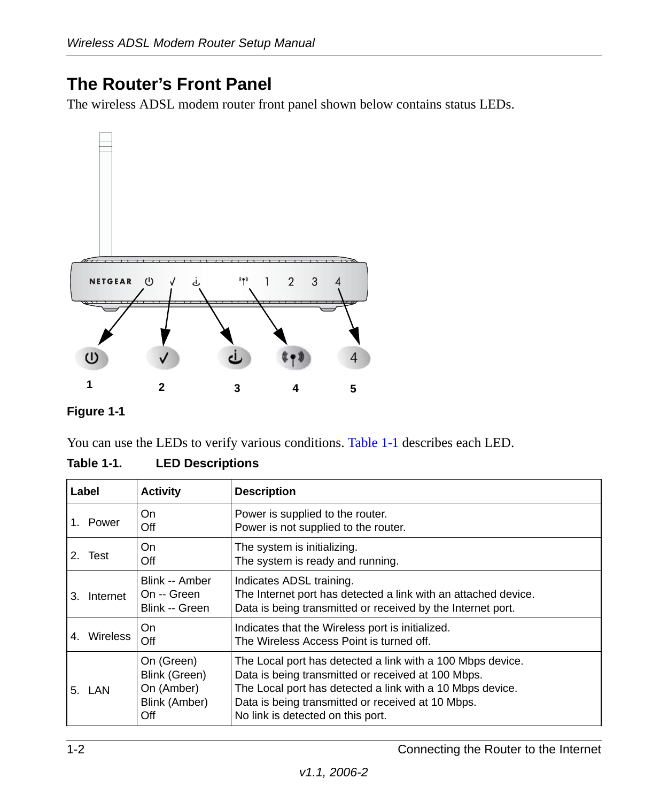### <span id="page-5-2"></span><span id="page-5-0"></span>**The Router's Front Panel**

The wireless ADSL modem router front panel shown below contains status LEDs.



### **Figure 1-1**

You can use the LEDs to verify various conditions. [Table 1-1](#page-5-1) describes each LED.

<span id="page-5-1"></span>

| Table 1-1. | <b>LED Descriptions</b> |
|------------|-------------------------|
|            |                         |

| Label                 | <b>Activity</b>                                                   | <b>Description</b>                                                                                                                                                                                                                                                      |
|-----------------------|-------------------------------------------------------------------|-------------------------------------------------------------------------------------------------------------------------------------------------------------------------------------------------------------------------------------------------------------------------|
| Power                 | On<br>Off                                                         | Power is supplied to the router.<br>Power is not supplied to the router.                                                                                                                                                                                                |
| 2.<br>Test            | On<br>Off                                                         | The system is initializing.<br>The system is ready and running.                                                                                                                                                                                                         |
| Internet<br>3.        | Blink -- Amber<br>On -- Green<br>Blink -- Green                   | Indicates ADSL training.<br>The Internet port has detected a link with an attached device.<br>Data is being transmitted or received by the Internet port.                                                                                                               |
| <b>Wireless</b><br>4. | On<br>Off                                                         | Indicates that the Wireless port is initialized.<br>The Wireless Access Point is turned off.                                                                                                                                                                            |
| 5. LAN                | On (Green)<br>Blink (Green)<br>On (Amber)<br>Blink (Amber)<br>Off | The Local port has detected a link with a 100 Mbps device.<br>Data is being transmitted or received at 100 Mbps.<br>The Local port has detected a link with a 10 Mbps device.<br>Data is being transmitted or received at 10 Mbps.<br>No link is detected on this port. |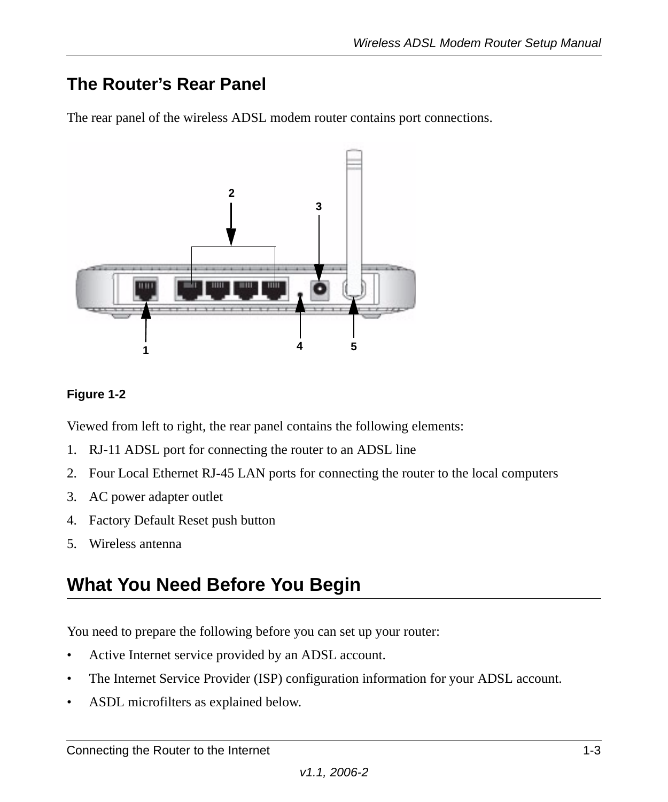### <span id="page-6-0"></span>**The Router's Rear Panel**

The rear panel of the wireless ADSL modem router contains port connections.



### **Figure 1-2**

Viewed from left to right, the rear panel contains the following elements:

- 1. RJ-11 ADSL port for connecting the router to an ADSL line
- 2. Four Local Ethernet RJ-45 LAN ports for connecting the router to the local computers
- 3. AC power adapter outlet
- 4. Factory Default Reset push button
- 5. Wireless antenna

## <span id="page-6-1"></span>**What You Need Before You Begin**

You need to prepare the following before you can set up your router:

- Active Internet service provided by an ADSL account.
- The Internet Service Provider (ISP) configuration information for your ADSL account.
- ASDL microfilters as explained below.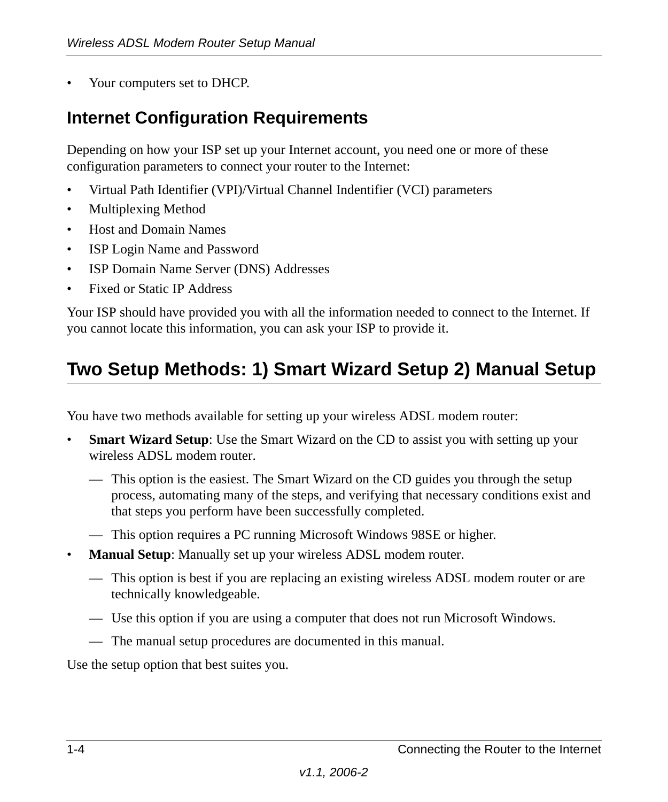• Your computers set to DHCP.

### <span id="page-7-0"></span>**Internet Configuration Requirements**

Depending on how your ISP set up your Internet account, you need one or more of these configuration parameters to connect your router to the Internet:

- Virtual Path Identifier (VPI)/Virtual Channel Indentifier (VCI) parameters
- Multiplexing Method
- Host and Domain Names
- ISP Login Name and Password
- ISP Domain Name Server (DNS) Addresses
- Fixed or Static IP Address

Your ISP should have provided you with all the information needed to connect to the Internet. If you cannot locate this information, you can ask your ISP to provide it.

## <span id="page-7-1"></span>**Two Setup Methods: 1) Smart Wizard Setup 2) Manual Setup**

You have two methods available for setting up your wireless ADSL modem router:

- **Smart Wizard Setup**: Use the Smart Wizard on the CD to assist you with setting up your wireless ADSL modem router.
	- This option is the easiest. The Smart Wizard on the CD guides you through the setup process, automating many of the steps, and verifying that necessary conditions exist and that steps you perform have been successfully completed.
	- This option requires a PC running Microsoft Windows 98SE or higher.
- **Manual Setup**: Manually set up your wireless ADSL modem router.
	- This option is best if you are replacing an existing wireless ADSL modem router or are technically knowledgeable.
	- Use this option if you are using a computer that does not run Microsoft Windows.
	- The manual setup procedures are documented in this manual.

Use the setup option that best suites you.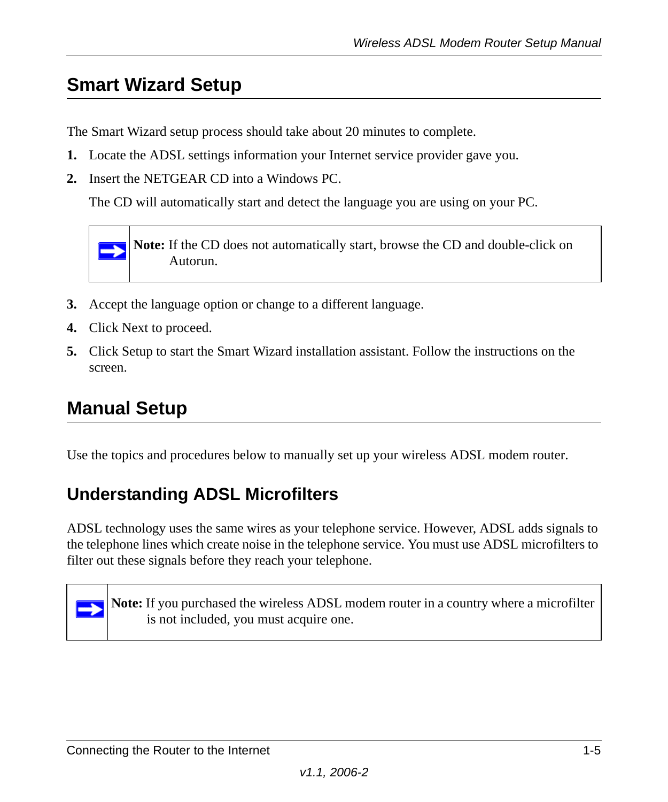## <span id="page-8-0"></span>**Smart Wizard Setup**

The Smart Wizard setup process should take about 20 minutes to complete.

- **1.** Locate the ADSL settings information your Internet service provider gave you.
- **2.** Insert the NETGEAR CD into a Windows PC.

The CD will automatically start and detect the language you are using on your PC.

**Note:** If the CD does not automatically start, browse the CD and double-click on Autorun.

- **3.** Accept the language option or change to a different language.
- **4.** Click Next to proceed.

 $\rightarrow$ 

**5.** Click Setup to start the Smart Wizard installation assistant. Follow the instructions on the screen.

### <span id="page-8-1"></span>**Manual Setup**

Use the topics and procedures below to manually set up your wireless ADSL modem router.

### <span id="page-8-2"></span>**Understanding ADSL Microfilters**

ADSL technology uses the same wires as your telephone service. However, ADSL adds signals to the telephone lines which create noise in the telephone service. You must use ADSL microfilters to filter out these signals before they reach your telephone.



**Note:** If you purchased the wireless ADSL modem router in a country where a microfilter is not included, you must acquire one.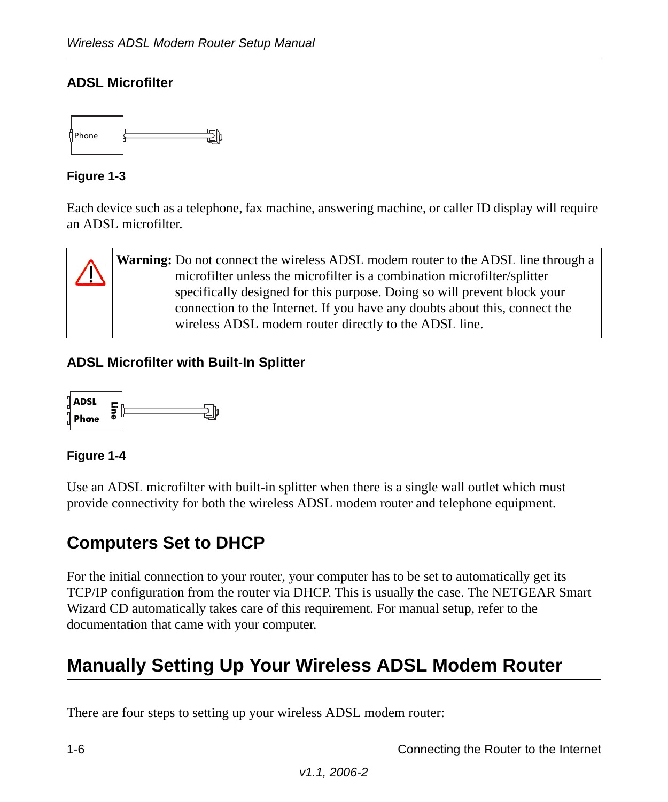### **ADSL Microfilter**



### **Figure 1-3**

Each device such as a telephone, fax machine, answering machine, or caller ID display will require an ADSL microfilter.

**Warning:** Do not connect the wireless ADSL modem router to the ADSL line through a microfilter unless the microfilter is a combination microfilter/splitter specifically designed for this purpose. Doing so will prevent block your connection to the Internet. If you have any doubts about this, connect the wireless ADSL modem router directly to the ADSL line.

### **ADSL Microfilter with Built-In Splitter**



### **Figure 1-4**

Use an ADSL microfilter with built-in splitter when there is a single wall outlet which must provide connectivity for both the wireless ADSL modem router and telephone equipment.

### <span id="page-9-0"></span>**Computers Set to DHCP**

For the initial connection to your router, your computer has to be set to automatically get its TCP/IP configuration from the router via DHCP. This is usually the case. The NETGEAR Smart Wizard CD automatically takes care of this requirement. For manual setup, refer to the documentation that came with your computer.

## <span id="page-9-1"></span>**Manually Setting Up Your Wireless ADSL Modem Router**

There are four steps to setting up your wireless ADSL modem router: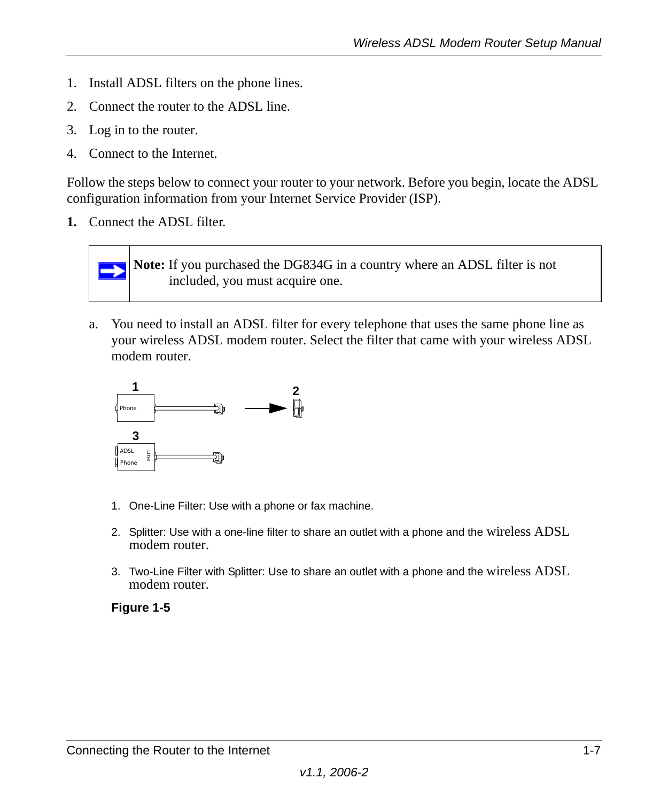- 1. Install ADSL filters on the phone lines.
- 2. Connect the router to the ADSL line.
- 3. Log in to the router.
- 4. Connect to the Internet.

Follow the steps below to connect your router to your network. Before you begin, locate the ADSL configuration information from your Internet Service Provider (ISP).

**1.** Connect the ADSL filter.



a. You need to install an ADSL filter for every telephone that uses the same phone line as your wireless ADSL modem router. Select the filter that came with your wireless ADSL modem router.



- 1. One-Line Filter: Use with a phone or fax machine.
- 2. Splitter: Use with a one-line filter to share an outlet with a phone and the wireless ADSL modem router.
- 3. Two-Line Filter with Splitter: Use to share an outlet with a phone and the wireless ADSL modem router.

### **Figure 1-5**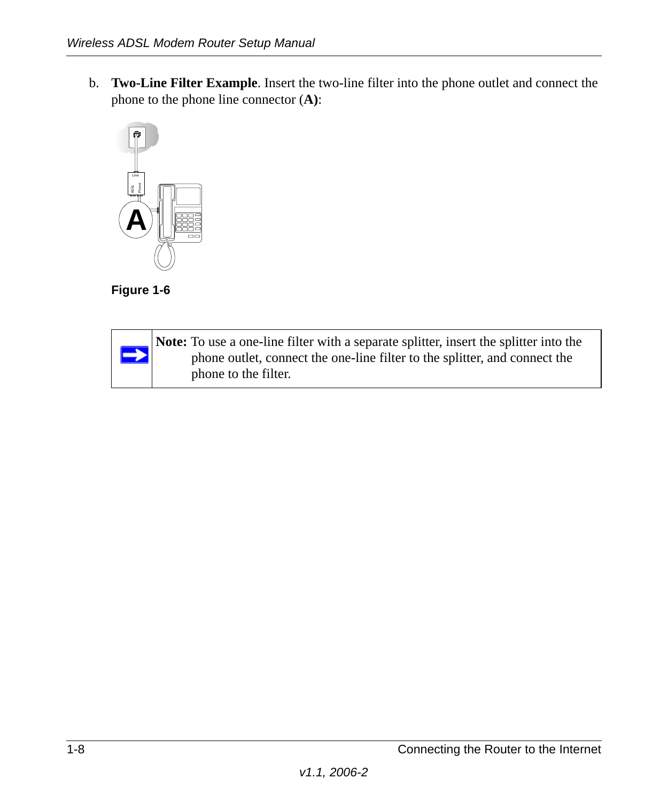b. **Two-Line Filter Example**. Insert the two-line filter into the phone outlet and connect the phone to the phone line connector (**A)**:





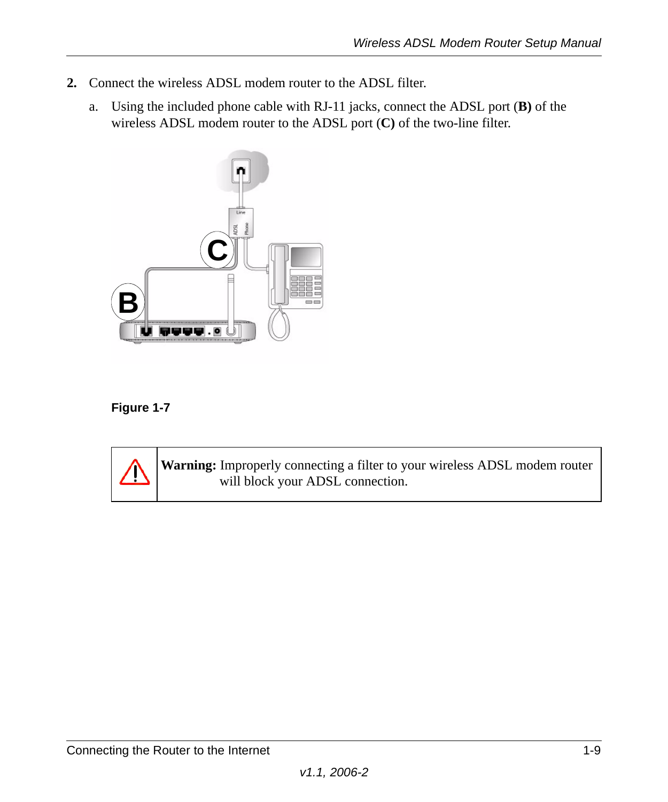- **2.** Connect the wireless ADSL modem router to the ADSL filter.
	- a. Using the included phone cable with RJ-11 jacks, connect the ADSL port (**B)** of the wireless ADSL modem router to the ADSL port (**C)** of the two-line filter.



### **Figure 1-7**



**Warning:** Improperly connecting a filter to your wireless ADSL modem router will block your ADSL connection.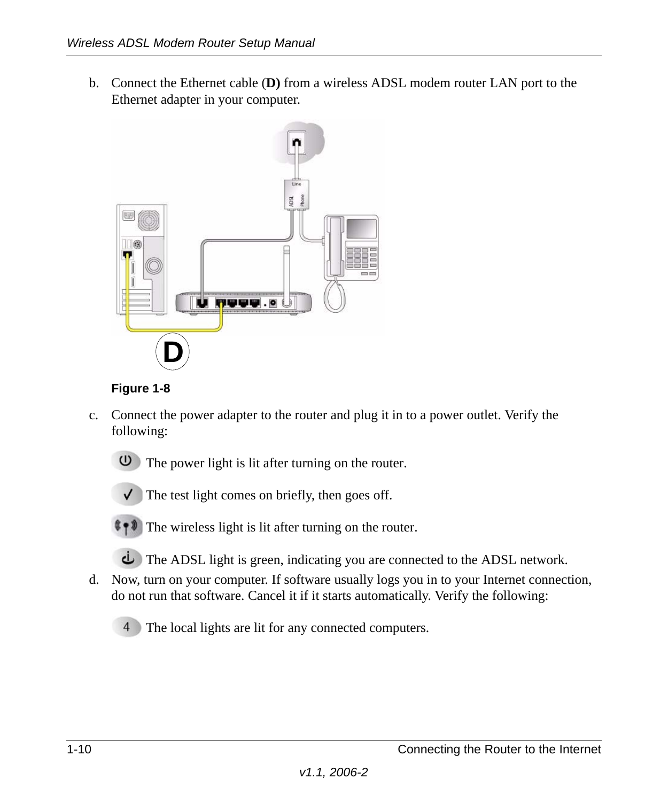b. Connect the Ethernet cable (**D)** from a wireless ADSL modem router LAN port to the Ethernet adapter in your computer.





- c. Connect the power adapter to the router and plug it in to a power outlet. Verify the following:
	- **U** The power light is lit after turning on the router.



 $\checkmark$  The test light comes on briefly, then goes off.

 $\Box$  The wireless light is lit after turning on the router.

- The ADSL light is green, indicating you are connected to the ADSL network.
- d. Now, turn on your computer. If software usually logs you in to your Internet connection, do not run that software. Cancel it if it starts automatically. Verify the following:
	- The local lights are lit for any connected computers.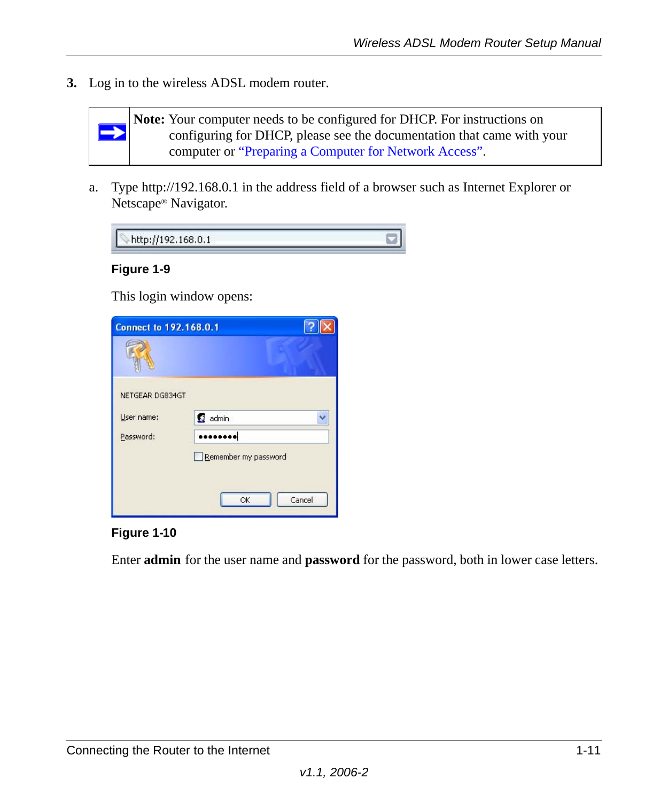**3.** Log in to the wireless ADSL modem router.



**Note:** Your computer needs to be configured for DHCP. For instructions on configuring for DHCP, please see the documentation that came with your computer or ["Preparing a Computer for Network Access"](#page-30-1).

a. Type http://192.168.0.1 in the address field of a browser such as Internet Explorer or Netscape® Navigator.

| http://192.168.0.1 |  |
|--------------------|--|
|--------------------|--|

### **Figure 1-9**

This login window opens:

| <b>Connect to 192.168.0.1</b> |                      |
|-------------------------------|----------------------|
|                               |                      |
| NETGEAR DG834GT               |                      |
| User name:                    | 2 admin              |
| Password:                     |                      |
|                               | Remember my password |
|                               |                      |
|                               | Cancel<br>OK         |

### **Figure 1-10**

Enter **admin** for the user name and **password** for the password, both in lower case letters.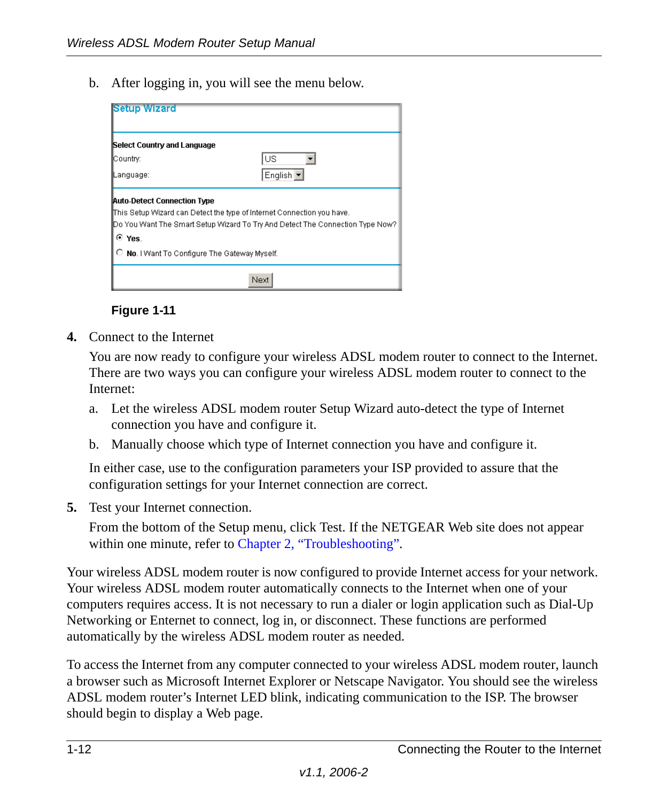b. After logging in, you will see the menu below.

| <b>Setup Wizard</b>                              |                                                                                                                                                           |
|--------------------------------------------------|-----------------------------------------------------------------------------------------------------------------------------------------------------------|
| Select Country and Language                      |                                                                                                                                                           |
| Country:                                         | lus                                                                                                                                                       |
| Language:                                        | English ▼                                                                                                                                                 |
| <b>Auto-Detect Connection Type</b><br>⊙ Yes.     | This Setup Wizard can Detect the type of Internet Connection you have.<br>[Do You Want The Smart Setup Wizard To Try And Detect The Connection Type Now?] |
| No. I Want To Configure The Gateway Myself.<br>O |                                                                                                                                                           |
|                                                  | Next                                                                                                                                                      |

**Figure 1-11**

**4.** Connect to the Internet

You are now ready to configure your wireless ADSL modem router to connect to the Internet. There are two ways you can configure your wireless ADSL modem router to connect to the Internet:

- a. Let the wireless ADSL modem router Setup Wizard auto-detect the type of Internet connection you have and configure it.
- b. Manually choose which type of Internet connection you have and configure it.

In either case, use to the configuration parameters your ISP provided to assure that the configuration settings for your Internet connection are correct.

**5.** Test your Internet connection.

From the bottom of the Setup menu, click Test. If the NETGEAR Web site does not appear within one minute, refer to [Chapter 2, "Troubleshooting".](#page-18-2)

Your wireless ADSL modem router is now configured to provide Internet access for your network. Your wireless ADSL modem router automatically connects to the Internet when one of your computers requires access. It is not necessary to run a dialer or login application such as Dial-Up Networking or Enternet to connect, log in, or disconnect. These functions are performed automatically by the wireless ADSL modem router as needed.

To access the Internet from any computer connected to your wireless ADSL modem router, launch a browser such as Microsoft Internet Explorer or Netscape Navigator. You should see the wireless ADSL modem router's Internet LED blink, indicating communication to the ISP. The browser should begin to display a Web page.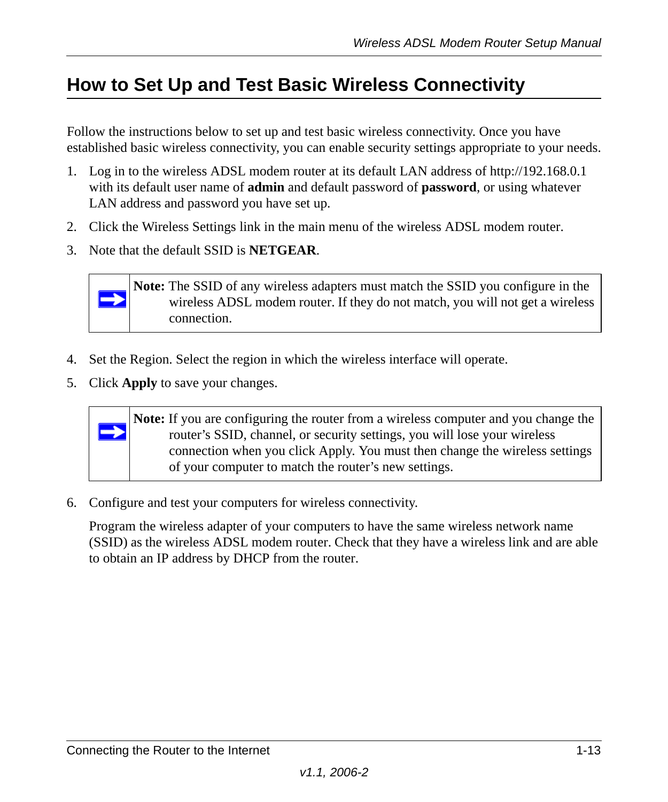## <span id="page-16-0"></span>**How to Set Up and Test Basic Wireless Connectivity**

Follow the instructions below to set up and test basic wireless connectivity. Once you have established basic wireless connectivity, you can enable security settings appropriate to your needs.

- 1. Log in to the wireless ADSL modem router at its default LAN address of http://192.168.0.1 with its default user name of **admin** and default password of **password**, or using whatever LAN address and password you have set up.
- 2. Click the Wireless Settings link in the main menu of the wireless ADSL modem router.
- 3. Note that the default SSID is **NETGEAR**.



**Note:** The SSID of any wireless adapters must match the SSID you configure in the wireless ADSL modem router. If they do not match, you will not get a wireless connection.

- 4. Set the Region. Select the region in which the wireless interface will operate.
- 5. Click **Apply** to save your changes.



**Note:** If you are configuring the router from a wireless computer and you change the router's SSID, channel, or security settings, you will lose your wireless connection when you click Apply. You must then change the wireless settings of your computer to match the router's new settings.

6. Configure and test your computers for wireless connectivity.

Program the wireless adapter of your computers to have the same wireless network name (SSID) as the wireless ADSL modem router. Check that they have a wireless link and are able to obtain an IP address by DHCP from the router.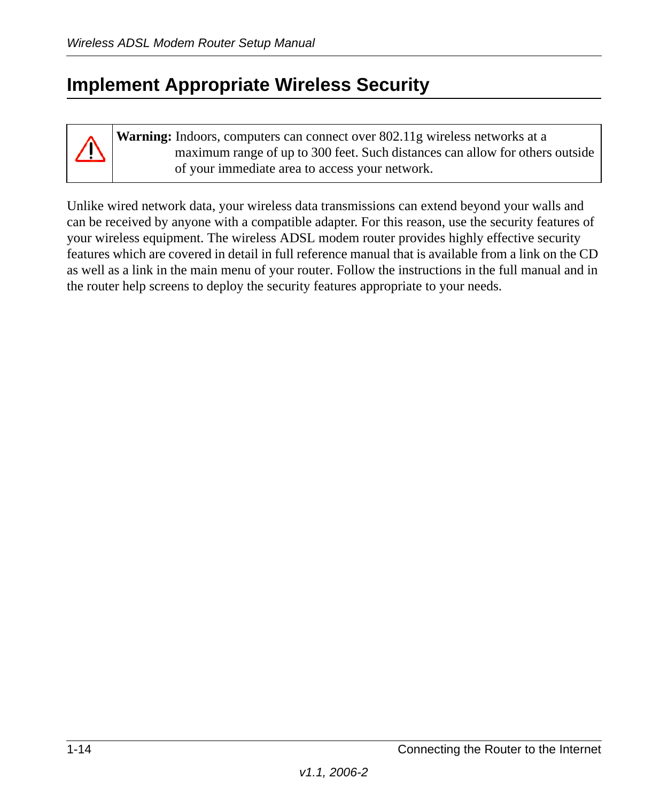## <span id="page-17-0"></span>**Implement Appropriate Wireless Security**

**Warning:** Indoors, computers can connect over 802.11g wireless networks at a maximum range of up to 300 feet. Such distances can allow for others outside of your immediate area to access your network.

Unlike wired network data, your wireless data transmissions can extend beyond your walls and can be received by anyone with a compatible adapter. For this reason, use the security features of your wireless equipment. The wireless ADSL modem router provides highly effective security features which are covered in detail in full reference manual that is available from a link on the CD as well as a link in the main menu of your router. Follow the instructions in the full manual and in the router help screens to deploy the security features appropriate to your needs.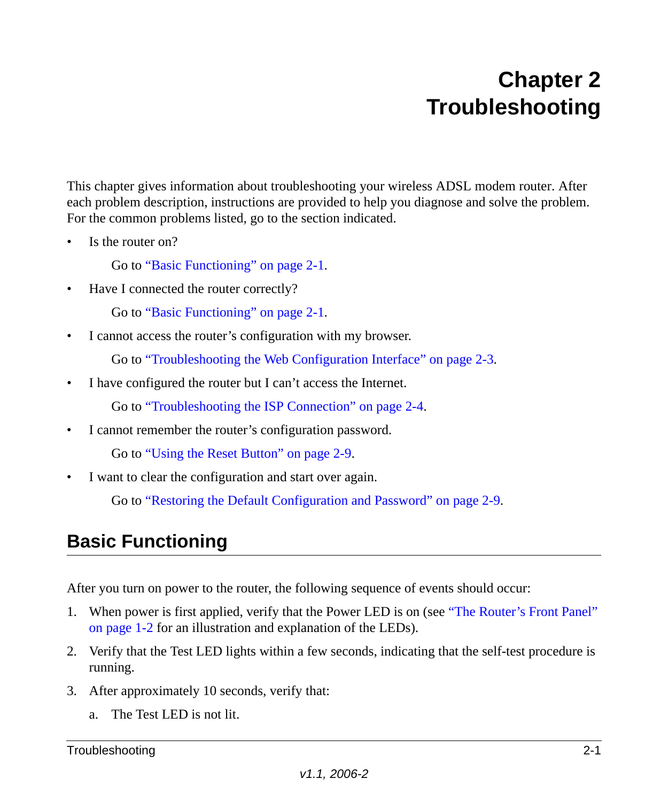## <span id="page-18-2"></span>**Chapter 2 Troubleshooting**

<span id="page-18-0"></span>This chapter gives information about troubleshooting your wireless ADSL modem router. After each problem description, instructions are provided to help you diagnose and solve the problem. For the common problems listed, go to the section indicated.

Is the router on?

Go to ["Basic Functioning" on page 2-1](#page-18-1).

• Have I connected the router correctly?

Go to ["Basic Functioning" on page 2-1](#page-18-1).

• I cannot access the router's configuration with my browser.

Go to ["Troubleshooting the Web Configuration Interface" on page 2-3](#page-20-1).

• I have configured the router but I can't access the Internet.

Go to "Troubleshooting the ISP Connection" on page 2-4.

• I cannot remember the router's configuration password.

Go to ["Using the Reset Button" on page 2-9](#page-26-1).

• I want to clear the configuration and start over again.

Go to ["Restoring the Default Configuration and Password" on page 2-9](#page-26-0).

## <span id="page-18-1"></span>**Basic Functioning**

After you turn on power to the router, the following sequence of events should occur:

- 1. When power is first applied, verify that the Power LED is on (see ["The Router's Front Panel"](#page-5-2)  [on page 1-2](#page-5-2) for an illustration and explanation of the LEDs).
- 2. Verify that the Test LED lights within a few seconds, indicating that the self-test procedure is running.
- 3. After approximately 10 seconds, verify that:
	- a. The Test LED is not lit.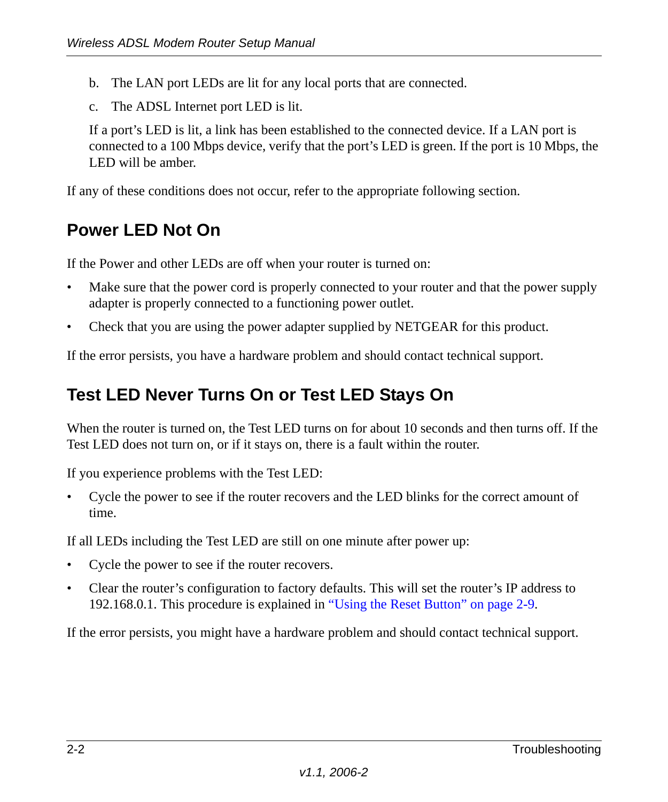- b. The LAN port LEDs are lit for any local ports that are connected.
- c. The ADSL Internet port LED is lit.

If a port's LED is lit, a link has been established to the connected device. If a LAN port is connected to a 100 Mbps device, verify that the port's LED is green. If the port is 10 Mbps, the LED will be amber.

If any of these conditions does not occur, refer to the appropriate following section.

## <span id="page-19-0"></span>**Power LED Not On**

If the Power and other LEDs are off when your router is turned on:

- Make sure that the power cord is properly connected to your router and that the power supply adapter is properly connected to a functioning power outlet.
- Check that you are using the power adapter supplied by NETGEAR for this product.

If the error persists, you have a hardware problem and should contact technical support.

## <span id="page-19-1"></span>**Test LED Never Turns On or Test LED Stays On**

When the router is turned on, the Test LED turns on for about 10 seconds and then turns off. If the Test LED does not turn on, or if it stays on, there is a fault within the router.

If you experience problems with the Test LED:

• Cycle the power to see if the router recovers and the LED blinks for the correct amount of time.

If all LEDs including the Test LED are still on one minute after power up:

- Cycle the power to see if the router recovers.
- Clear the router's configuration to factory defaults. This will set the router's IP address to 192.168.0.1. This procedure is explained in ["Using the Reset Button" on page 2-9](#page-26-1).

If the error persists, you might have a hardware problem and should contact technical support.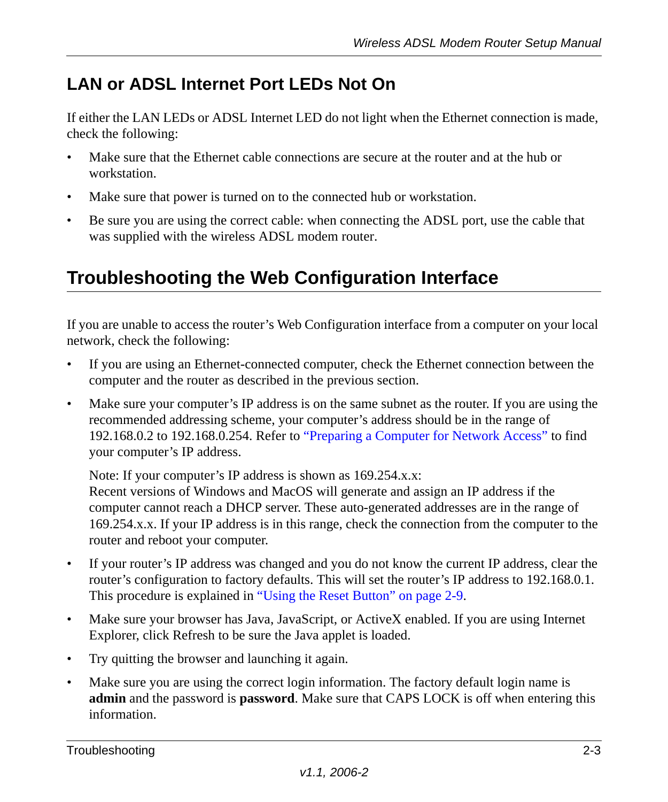## <span id="page-20-0"></span>**LAN or ADSL Internet Port LEDs Not On**

If either the LAN LEDs or ADSL Internet LED do not light when the Ethernet connection is made, check the following:

- Make sure that the Ethernet cable connections are secure at the router and at the hub or workstation.
- Make sure that power is turned on to the connected hub or workstation.
- Be sure you are using the correct cable: when connecting the ADSL port, use the cable that was supplied with the wireless ADSL modem router.

## <span id="page-20-1"></span>**Troubleshooting the Web Configuration Interface**

If you are unable to access the router's Web Configuration interface from a computer on your local network, check the following:

- If you are using an Ethernet-connected computer, check the Ethernet connection between the computer and the router as described in the previous section.
- Make sure your computer's IP address is on the same subnet as the router. If you are using the recommended addressing scheme, your computer's address should be in the range of 192.168.0.2 to 192.168.0.254. Refer to ["Preparing a Computer for Network Access"](#page-30-1) to find your computer's IP address.

Note: If your computer's IP address is shown as 169.254.x.x:

Recent versions of Windows and MacOS will generate and assign an IP address if the computer cannot reach a DHCP server. These auto-generated addresses are in the range of 169.254.x.x. If your IP address is in this range, check the connection from the computer to the router and reboot your computer.

- If your router's IP address was changed and you do not know the current IP address, clear the router's configuration to factory defaults. This will set the router's IP address to 192.168.0.1. This procedure is explained in ["Using the Reset Button" on page 2-9](#page-26-1).
- Make sure your browser has Java, JavaScript, or ActiveX enabled. If you are using Internet Explorer, click Refresh to be sure the Java applet is loaded.
- Try quitting the browser and launching it again.
- Make sure you are using the correct login information. The factory default login name is **admin** and the password is **password**. Make sure that CAPS LOCK is off when entering this information.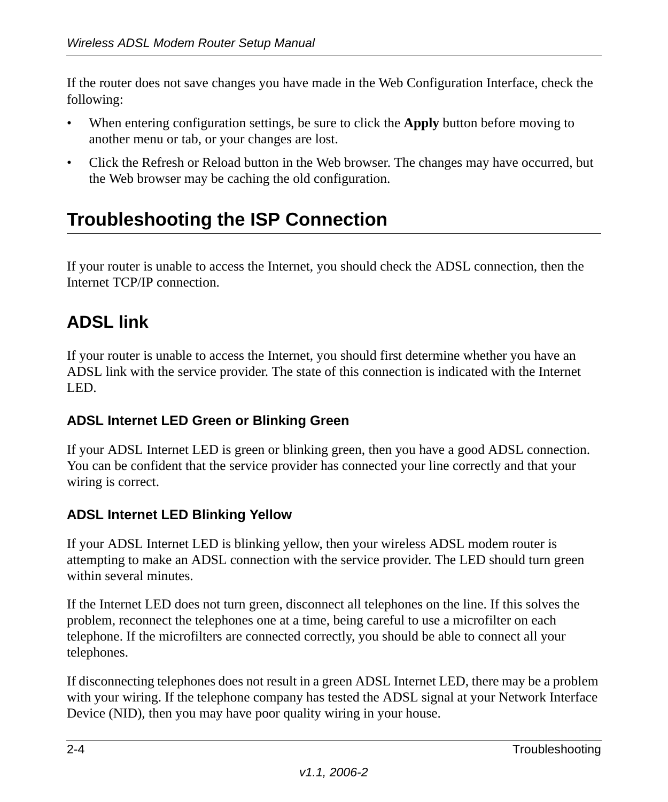If the router does not save changes you have made in the Web Configuration Interface, check the following:

- When entering configuration settings, be sure to click the **Apply** button before moving to another menu or tab, or your changes are lost.
- Click the Refresh or Reload button in the Web browser. The changes may have occurred, but the Web browser may be caching the old configuration.

## <span id="page-21-0"></span>**Troubleshooting the ISP Connection**

If your router is unable to access the Internet, you should check the ADSL connection, then the Internet TCP/IP connection.

## <span id="page-21-1"></span>**ADSL link**

If your router is unable to access the Internet, you should first determine whether you have an ADSL link with the service provider. The state of this connection is indicated with the Internet LED.

### **ADSL Internet LED Green or Blinking Green**

If your ADSL Internet LED is green or blinking green, then you have a good ADSL connection. You can be confident that the service provider has connected your line correctly and that your wiring is correct.

### **ADSL Internet LED Blinking Yellow**

If your ADSL Internet LED is blinking yellow, then your wireless ADSL modem router is attempting to make an ADSL connection with the service provider. The LED should turn green within several minutes.

If the Internet LED does not turn green, disconnect all telephones on the line. If this solves the problem, reconnect the telephones one at a time, being careful to use a microfilter on each telephone. If the microfilters are connected correctly, you should be able to connect all your telephones.

If disconnecting telephones does not result in a green ADSL Internet LED, there may be a problem with your wiring. If the telephone company has tested the ADSL signal at your Network Interface Device (NID), then you may have poor quality wiring in your house.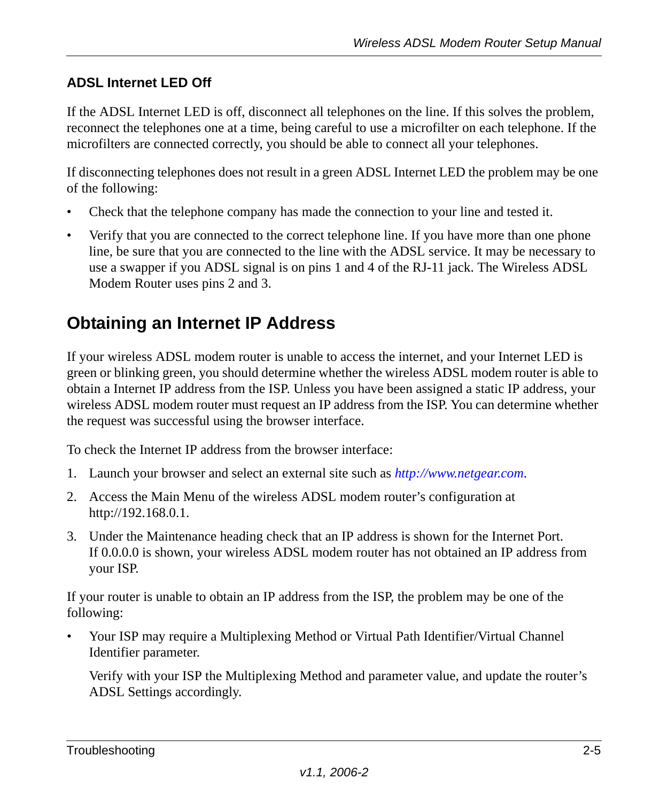### **ADSL Internet LED Off**

If the ADSL Internet LED is off, disconnect all telephones on the line. If this solves the problem, reconnect the telephones one at a time, being careful to use a microfilter on each telephone. If the microfilters are connected correctly, you should be able to connect all your telephones.

If disconnecting telephones does not result in a green ADSL Internet LED the problem may be one of the following:

- Check that the telephone company has made the connection to your line and tested it.
- Verify that you are connected to the correct telephone line. If you have more than one phone line, be sure that you are connected to the line with the ADSL service. It may be necessary to use a swapper if you ADSL signal is on pins 1 and 4 of the RJ-11 jack. The Wireless ADSL Modem Router uses pins 2 and 3.

### <span id="page-22-0"></span>**Obtaining an Internet IP Address**

If your wireless ADSL modem router is unable to access the internet, and your Internet LED is green or blinking green, you should determine whether the wireless ADSL modem router is able to obtain a Internet IP address from the ISP. Unless you have been assigned a static IP address, your wireless ADSL modem router must request an IP address from the ISP. You can determine whether the request was successful using the browser interface.

To check the Internet IP address from the browser interface:

- 1. Launch your browser and select an external site such as *http://www.netgear.com*.
- 2. Access the Main Menu of the wireless ADSL modem router's configuration at http://192.168.0.1.
- 3. Under the Maintenance heading check that an IP address is shown for the Internet Port. If 0.0.0.0 is shown, your wireless ADSL modem router has not obtained an IP address from your ISP.

If your router is unable to obtain an IP address from the ISP, the problem may be one of the following:

• Your ISP may require a Multiplexing Method or Virtual Path Identifier/Virtual Channel Identifier parameter.

Verify with your ISP the Multiplexing Method and parameter value, and update the router's ADSL Settings accordingly.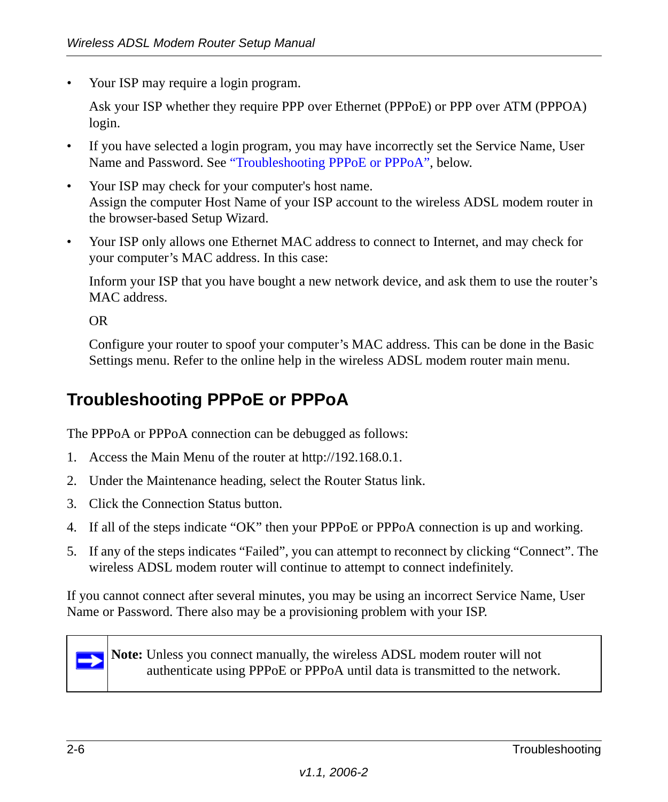• Your ISP may require a login program.

Ask your ISP whether they require PPP over Ethernet (PPPoE) or PPP over ATM (PPPOA) login.

- If you have selected a login program, you may have incorrectly set the Service Name, User Name and Password. See ["Troubleshooting PPPoE or PPPoA"](#page-23-0), below.
- Your ISP may check for your computer's host name. Assign the computer Host Name of your ISP account to the wireless ADSL modem router in the browser-based Setup Wizard.
- Your ISP only allows one Ethernet MAC address to connect to Internet, and may check for your computer's MAC address. In this case:

Inform your ISP that you have bought a new network device, and ask them to use the router's MAC address.

OR

Configure your router to spoof your computer's MAC address. This can be done in the Basic Settings menu. Refer to the online help in the wireless ADSL modem router main menu.

### <span id="page-23-0"></span>**Troubleshooting PPPoE or PPPoA**

The PPPoA or PPPoA connection can be debugged as follows:

- 1. Access the Main Menu of the router at http://192.168.0.1.
- 2. Under the Maintenance heading, select the Router Status link.
- 3. Click the Connection Status button.
- 4. If all of the steps indicate "OK" then your PPPoE or PPPoA connection is up and working.
- 5. If any of the steps indicates "Failed", you can attempt to reconnect by clicking "Connect". The wireless ADSL modem router will continue to attempt to connect indefinitely.

If you cannot connect after several minutes, you may be using an incorrect Service Name, User Name or Password. There also may be a provisioning problem with your ISP.



**Note:** Unless you connect manually, the wireless ADSL modem router will not authenticate using PPPoE or PPPoA until data is transmitted to the network.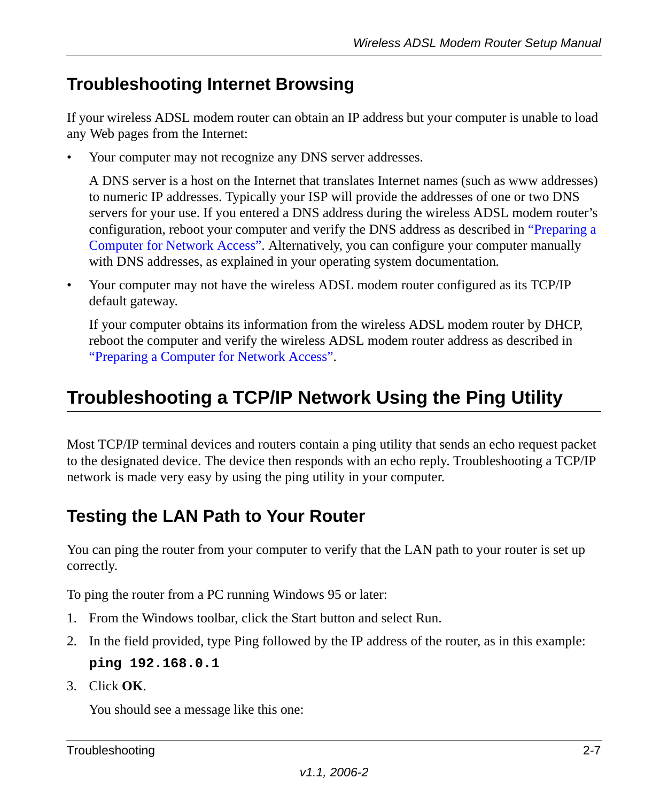## <span id="page-24-0"></span>**Troubleshooting Internet Browsing**

If your wireless ADSL modem router can obtain an IP address but your computer is unable to load any Web pages from the Internet:

• Your computer may not recognize any DNS server addresses.

A DNS server is a host on the Internet that translates Internet names (such as www addresses) to numeric IP addresses. Typically your ISP will provide the addresses of one or two DNS servers for your use. If you entered a DNS address during the wireless ADSL modem router's configuration, reboot your computer and verify the DNS address as described in ["Preparing a](#page-30-1)  [Computer for Network Access"](#page-30-1). Alternatively, you can configure your computer manually with DNS addresses, as explained in your operating system documentation*.*

• Your computer may not have the wireless ADSL modem router configured as its TCP/IP default gateway.

If your computer obtains its information from the wireless ADSL modem router by DHCP, reboot the computer and verify the wireless ADSL modem router address as described in ["Preparing a Computer for Network Access"](#page-30-1).

## <span id="page-24-1"></span>**Troubleshooting a TCP/IP Network Using the Ping Utility**

Most TCP/IP terminal devices and routers contain a ping utility that sends an echo request packet to the designated device. The device then responds with an echo reply. Troubleshooting a TCP/IP network is made very easy by using the ping utility in your computer.

### <span id="page-24-2"></span>**Testing the LAN Path to Your Router**

You can ping the router from your computer to verify that the LAN path to your router is set up correctly.

To ping the router from a PC running Windows 95 or later:

- 1. From the Windows toolbar, click the Start button and select Run.
- 2. In the field provided, type Ping followed by the IP address of the router, as in this example: **ping 192.168.0.1**
- 3. Click **OK**.

You should see a message like this one: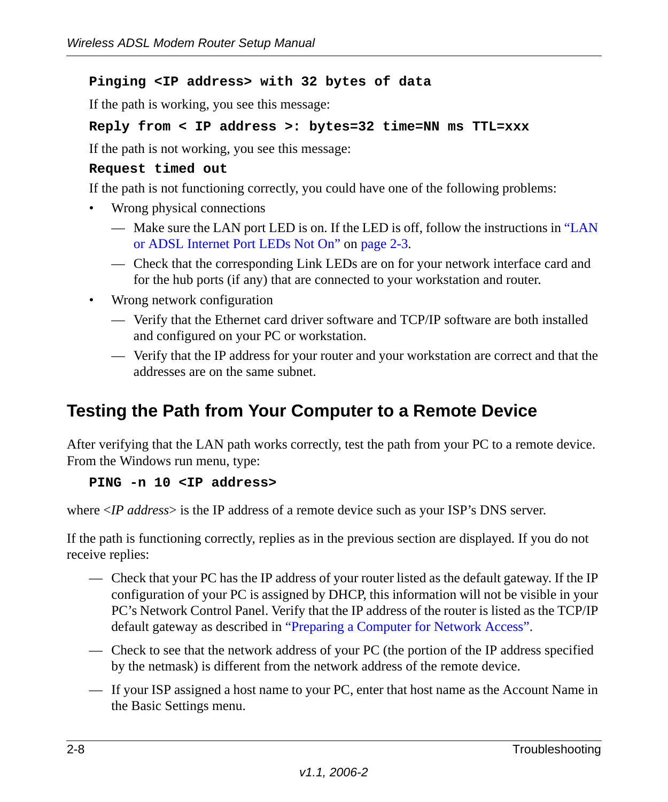### **Pinging <IP address> with 32 bytes of data**

If the path is working, you see this message:

### **Reply from < IP address >: bytes=32 time=NN ms TTL=xxx**

If the path is not working, you see this message:

#### **Request timed out**

If the path is not functioning correctly, you could have one of the following problems:

- Wrong physical connections
	- Make sure the LAN port LED is on. If the LED is off, follow the instructions in ["LAN](#page-20-0)  [or ADSL Internet Port LEDs Not On"](#page-20-0) on [page 2-3.](#page-20-0)
	- Check that the corresponding Link LEDs are on for your network interface card and for the hub ports (if any) that are connected to your workstation and router.
- Wrong network configuration
	- Verify that the Ethernet card driver software and TCP/IP software are both installed and configured on your PC or workstation.
	- Verify that the IP address for your router and your workstation are correct and that the addresses are on the same subnet.

### <span id="page-25-0"></span>**Testing the Path from Your Computer to a Remote Device**

After verifying that the LAN path works correctly, test the path from your PC to a remote device. From the Windows run menu, type:

### **PING -n 10 <IP address>**

where <*IP address*> is the IP address of a remote device such as your ISP's DNS server.

If the path is functioning correctly, replies as in the previous section are displayed. If you do not receive replies:

- Check that your PC has the IP address of your router listed as the default gateway. If the IP configuration of your PC is assigned by DHCP, this information will not be visible in your PC's Network Control Panel. Verify that the IP address of the router is listed as the TCP/IP default gateway as described in ["Preparing a Computer for Network Access"](#page-30-1).
- Check to see that the network address of your PC (the portion of the IP address specified by the netmask) is different from the network address of the remote device.
- If your ISP assigned a host name to your PC, enter that host name as the Account Name in the Basic Settings menu.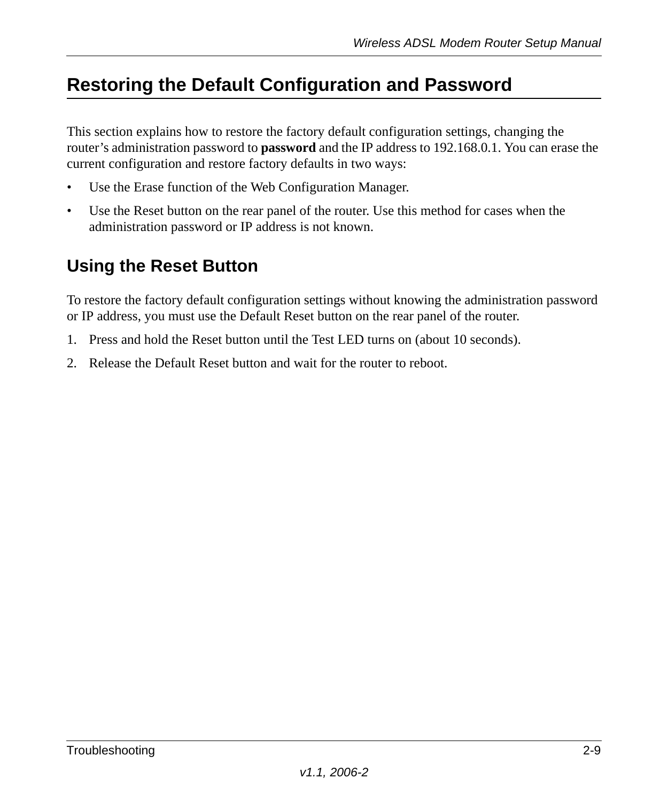## <span id="page-26-0"></span>**Restoring the Default Configuration and Password**

This section explains how to restore the factory default configuration settings, changing the router's administration password to **password** and the IP address to 192.168.0.1. You can erase the current configuration and restore factory defaults in two ways:

- Use the Erase function of the Web Configuration Manager.
- Use the Reset button on the rear panel of the router. Use this method for cases when the administration password or IP address is not known.

### <span id="page-26-1"></span>**Using the Reset Button**

To restore the factory default configuration settings without knowing the administration password or IP address, you must use the Default Reset button on the rear panel of the router.

- 1. Press and hold the Reset button until the Test LED turns on (about 10 seconds).
- 2. Release the Default Reset button and wait for the router to reboot.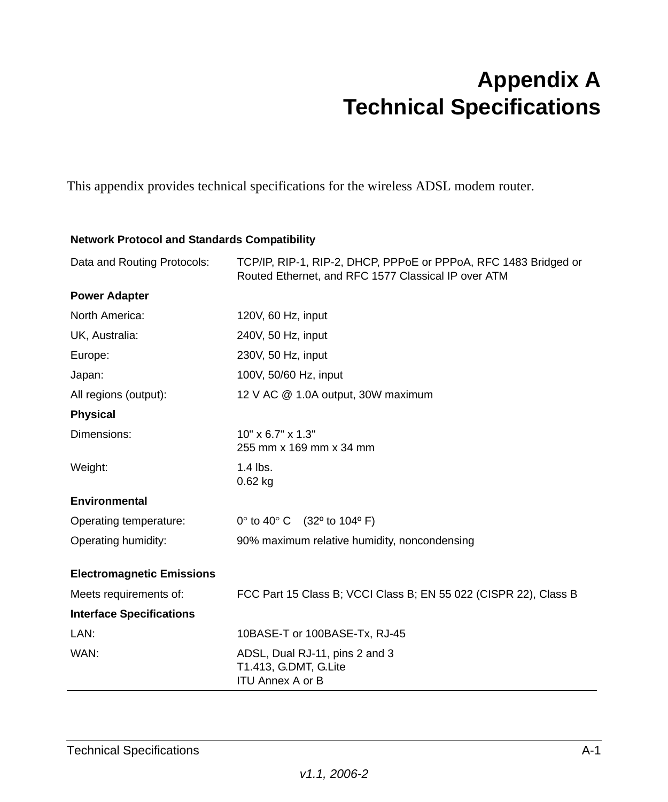## **Appendix A Technical Specifications**

<span id="page-28-0"></span>This appendix provides technical specifications for the wireless ADSL modem router.

#### **Network Protocol and Standards Compatibility**

| Data and Routing Protocols:      | TCP/IP, RIP-1, RIP-2, DHCP, PPPoE or PPPoA, RFC 1483 Bridged or<br>Routed Ethernet, and RFC 1577 Classical IP over ATM |
|----------------------------------|------------------------------------------------------------------------------------------------------------------------|
| <b>Power Adapter</b>             |                                                                                                                        |
| North America:                   | 120V, 60 Hz, input                                                                                                     |
| UK, Australia:                   | 240V, 50 Hz, input                                                                                                     |
| Europe:                          | 230V, 50 Hz, input                                                                                                     |
| Japan:                           | 100V, 50/60 Hz, input                                                                                                  |
| All regions (output):            | 12 V AC @ 1.0A output, 30W maximum                                                                                     |
| <b>Physical</b>                  |                                                                                                                        |
| Dimensions:                      | $10" \times 6.7" \times 1.3"$<br>255 mm x 169 mm x 34 mm                                                               |
| Weight:                          | $1.4$ lbs.<br>$0.62$ kg                                                                                                |
| <b>Environmental</b>             |                                                                                                                        |
| Operating temperature:           | $0^{\circ}$ to 40° C (32° to 104° F)                                                                                   |
| Operating humidity:              | 90% maximum relative humidity, noncondensing                                                                           |
| <b>Electromagnetic Emissions</b> |                                                                                                                        |
| Meets requirements of:           | FCC Part 15 Class B; VCCI Class B; EN 55 022 (CISPR 22), Class B                                                       |
| <b>Interface Specifications</b>  |                                                                                                                        |
| LAN:                             | 10BASE-T or 100BASE-Tx, RJ-45                                                                                          |
| WAN:                             | ADSL, Dual RJ-11, pins 2 and 3<br>T1.413, G.DMT, G.Lite<br><b>ITU Annex A or B</b>                                     |